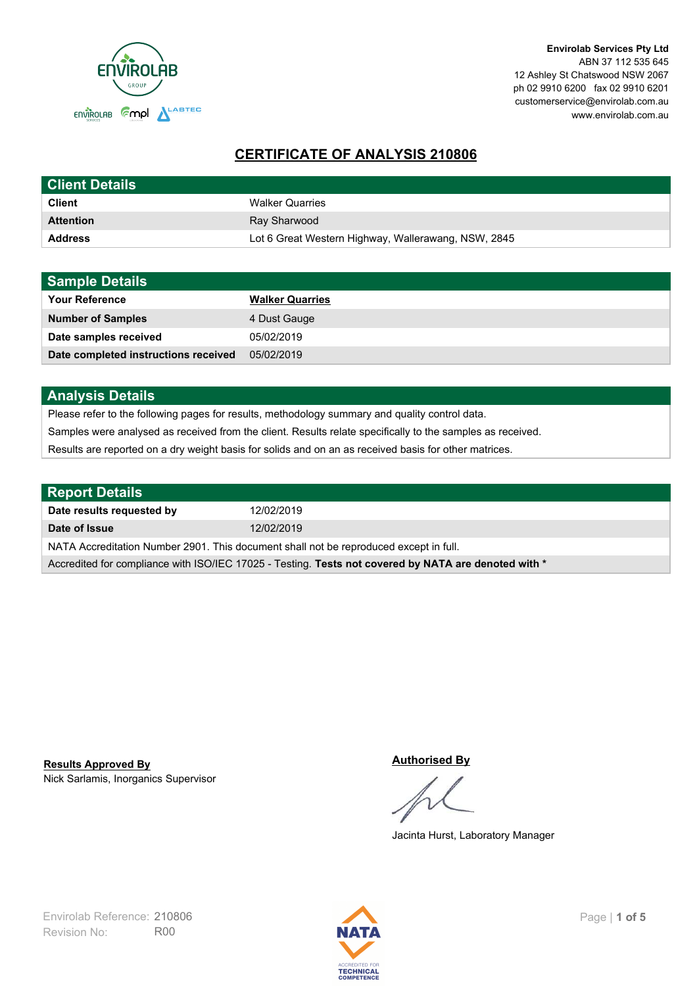

# **CERTIFICATE OF ANALYSIS 210806**

| <b>Client Details</b> |                                                     |
|-----------------------|-----------------------------------------------------|
| <b>Client</b>         | <b>Walker Quarries</b>                              |
| <b>Attention</b>      | Ray Sharwood                                        |
| <b>Address</b>        | Lot 6 Great Western Highway, Wallerawang, NSW, 2845 |

| <b>Sample Details</b>                |                        |
|--------------------------------------|------------------------|
| <b>Your Reference</b>                | <b>Walker Quarries</b> |
| <b>Number of Samples</b>             | 4 Dust Gauge           |
| Date samples received                | 05/02/2019             |
| Date completed instructions received | 05/02/2019             |

## **Analysis Details**

Please refer to the following pages for results, methodology summary and quality control data.

Samples were analysed as received from the client. Results relate specifically to the samples as received.

Results are reported on a dry weight basis for solids and on an as received basis for other matrices.

| <b>Report Details</b>                                                                                |            |
|------------------------------------------------------------------------------------------------------|------------|
| Date results requested by                                                                            | 12/02/2019 |
| Date of Issue                                                                                        | 12/02/2019 |
| NATA Accreditation Number 2901. This document shall not be reproduced except in full.                |            |
| Accredited for compliance with ISO/IEC 17025 - Testing. Tests not covered by NATA are denoted with * |            |

Nick Sarlamis, Inorganics Supervisor **Results Approved By**

#### **Authorised By**

Jacinta Hurst, Laboratory Manager

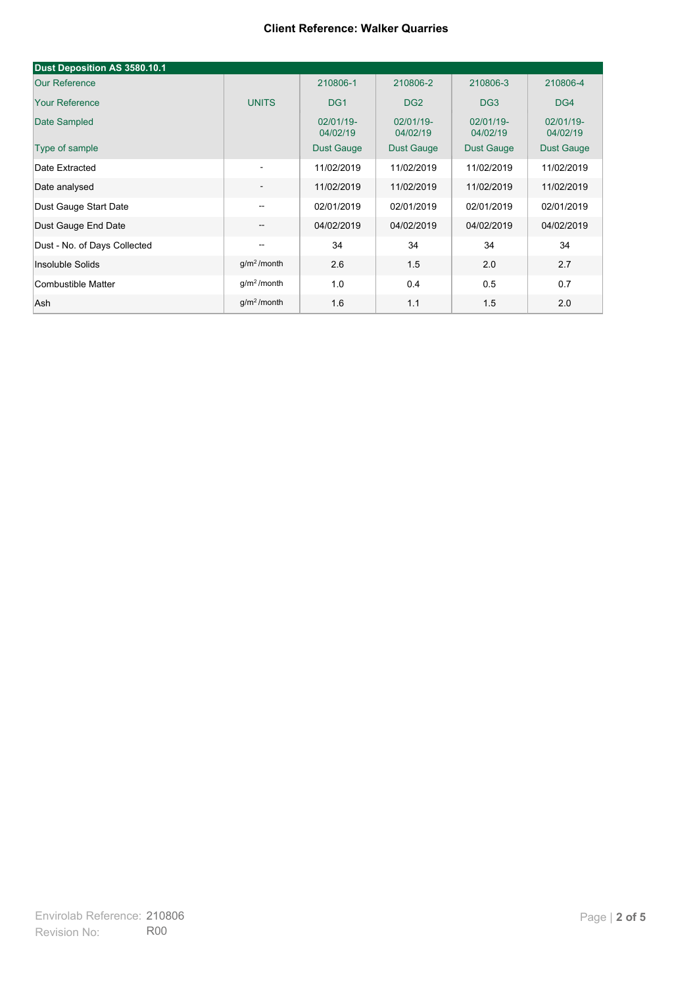#### **Client Reference: Walker Quarries**

| Dust Deposition AS 3580.10.1 |                                       |                       |                       |                       |                       |
|------------------------------|---------------------------------------|-----------------------|-----------------------|-----------------------|-----------------------|
| <b>Our Reference</b>         |                                       | 210806-1              | 210806-2              | 210806-3              | 210806-4              |
| <b>Your Reference</b>        | <b>UNITS</b>                          | DG <sub>1</sub>       | DG <sub>2</sub>       | DG <sub>3</sub>       | DG4                   |
| Date Sampled                 |                                       | 02/01/19-<br>04/02/19 | 02/01/19-<br>04/02/19 | 02/01/19-<br>04/02/19 | 02/01/19-<br>04/02/19 |
| Type of sample               |                                       | <b>Dust Gauge</b>     | Dust Gauge            | <b>Dust Gauge</b>     | Dust Gauge            |
| Date Extracted               | ۰.                                    | 11/02/2019            | 11/02/2019            | 11/02/2019            | 11/02/2019            |
| Date analysed                | -                                     | 11/02/2019            | 11/02/2019            | 11/02/2019            | 11/02/2019            |
| Dust Gauge Start Date        | $-$                                   | 02/01/2019            | 02/01/2019            | 02/01/2019            | 02/01/2019            |
| Dust Gauge End Date          | $\overline{\phantom{a}}$              | 04/02/2019            | 04/02/2019            | 04/02/2019            | 04/02/2019            |
| Dust - No. of Days Collected | $\hspace{0.05cm}$ – $\hspace{0.05cm}$ | 34                    | 34                    | 34                    | 34                    |
| Insoluble Solids             | $g/m2$ /month                         | 2.6                   | 1.5                   | 2.0                   | 2.7                   |
| Combustible Matter           | g/m <sup>2</sup> /month               | 1.0                   | 0.4                   | 0.5                   | 0.7                   |
| Ash                          | g/m <sup>2</sup> /month               | 1.6                   | 1.1                   | 1.5                   | 2.0                   |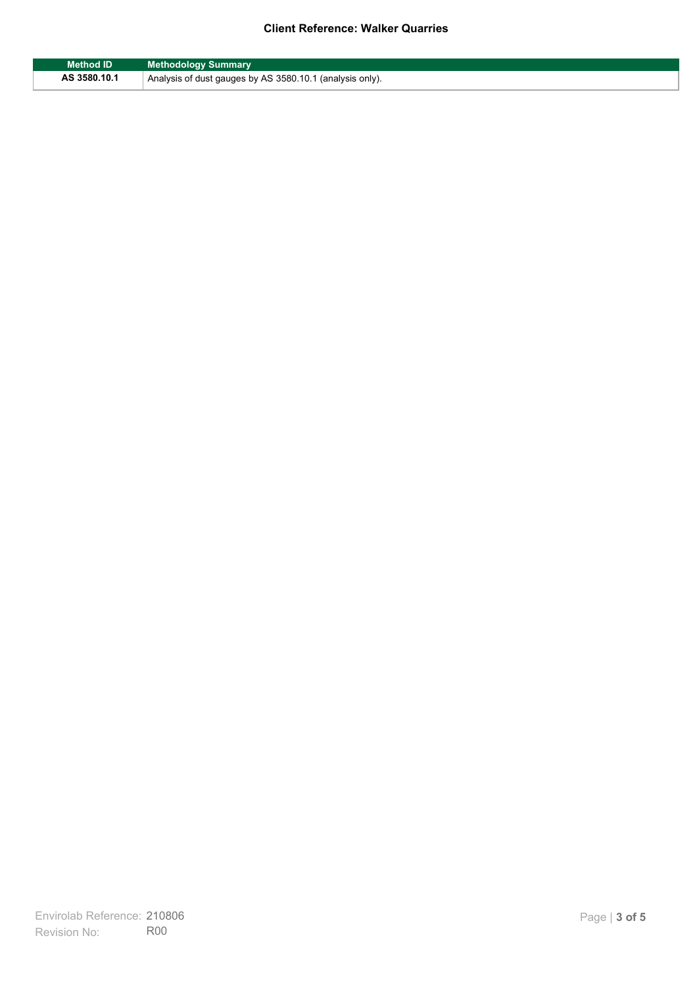## **Client Reference: Walker Quarries**

| <b>Method ID</b> | <b>Methodology Summary</b>                               |
|------------------|----------------------------------------------------------|
| AS 3580.10.1     | Analysis of dust gauges by AS 3580.10.1 (analysis only). |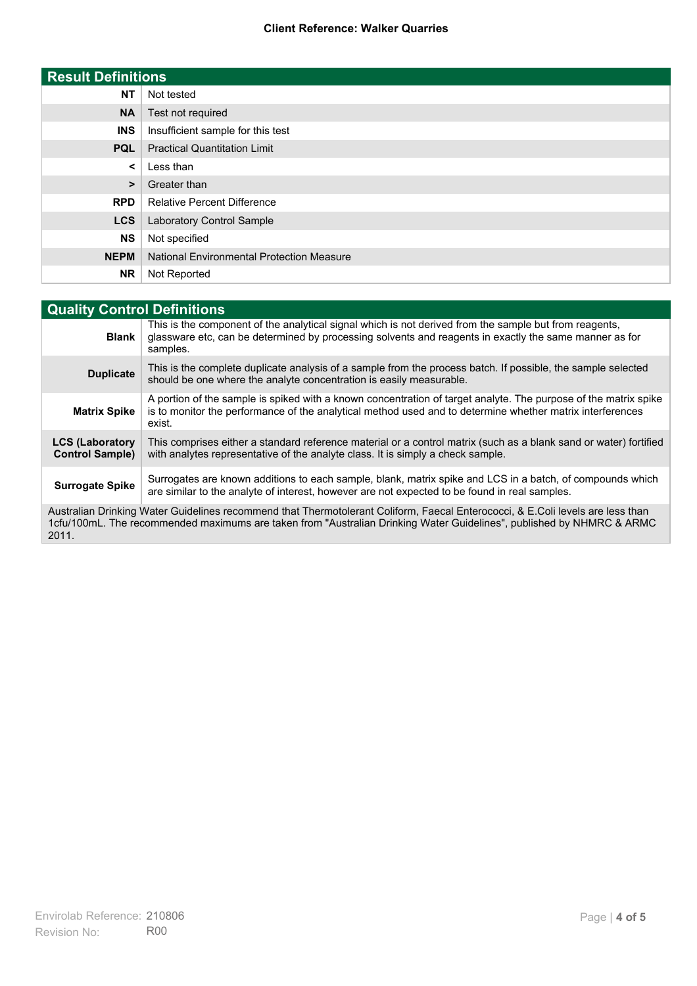### **Client Reference: Walker Quarries**

| <b>Result Definitions</b> |                                                  |
|---------------------------|--------------------------------------------------|
| <b>NT</b>                 | Not tested                                       |
| <b>NA</b>                 | Test not required                                |
| <b>INS</b>                | Insufficient sample for this test                |
| <b>PQL</b>                | <b>Practical Quantitation Limit</b>              |
| $\prec$                   | Less than                                        |
| $\geq$                    | Greater than                                     |
| <b>RPD</b>                | <b>Relative Percent Difference</b>               |
| <b>LCS</b>                | <b>Laboratory Control Sample</b>                 |
| <b>NS</b>                 | Not specified                                    |
| <b>NEPM</b>               | <b>National Environmental Protection Measure</b> |
| <b>NR</b>                 | Not Reported                                     |

| <b>Quality Control Definitions</b>                                                                                                                                                                                                                      |                                                                                                                                                                                                                                        |
|---------------------------------------------------------------------------------------------------------------------------------------------------------------------------------------------------------------------------------------------------------|----------------------------------------------------------------------------------------------------------------------------------------------------------------------------------------------------------------------------------------|
| <b>Blank</b>                                                                                                                                                                                                                                            | This is the component of the analytical signal which is not derived from the sample but from reagents,<br>glassware etc, can be determined by processing solvents and reagents in exactly the same manner as for<br>samples.           |
| <b>Duplicate</b>                                                                                                                                                                                                                                        | This is the complete duplicate analysis of a sample from the process batch. If possible, the sample selected<br>should be one where the analyte concentration is easily measurable.                                                    |
| <b>Matrix Spike</b>                                                                                                                                                                                                                                     | A portion of the sample is spiked with a known concentration of target analyte. The purpose of the matrix spike<br>is to monitor the performance of the analytical method used and to determine whether matrix interferences<br>exist. |
| <b>LCS (Laboratory</b><br><b>Control Sample)</b>                                                                                                                                                                                                        | This comprises either a standard reference material or a control matrix (such as a blank sand or water) fortified<br>with analytes representative of the analyte class. It is simply a check sample.                                   |
| <b>Surrogate Spike</b>                                                                                                                                                                                                                                  | Surrogates are known additions to each sample, blank, matrix spike and LCS in a batch, of compounds which<br>are similar to the analyte of interest, however are not expected to be found in real samples.                             |
| Australian Drinking Water Guidelines recommend that Thermotolerant Coliform, Faecal Enterococci, & E.Coli levels are less than<br>1cfu/100mL. The recommended maximums are taken from "Australian Drinking Water Guidelines", published by NHMRC & ARMC |                                                                                                                                                                                                                                        |

2011.